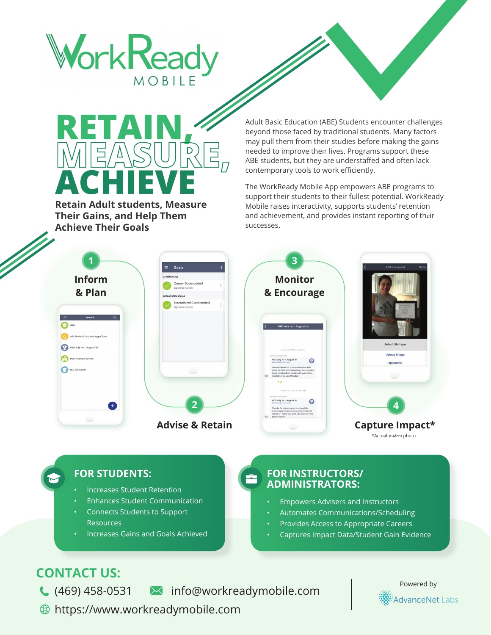



**Retain Adult students, Measure Their Gains, and Help Them Achieve Their Goals**

Adult Basic Education (ABE) Students encounter challenges beyond those faced by traditional students. Many factors may pull them from their studies before making the gains needed to improve their lives. Programs support these ABE students, but they are understaffed and often lack contemporary tools to work efficiently.

The WorkReady Mobile App empowers ABE programs to support their students to their fullest potential. WorkReady Mobile raises interactivity, supports students' retention and achievement, and provides instant reporting of their successes.



### **FOR STUDENTS:**

- Increases Student Retention
- Enhances Student Communication
- Connects Students to Support Resources
- Increases Gains and Goals Achieved

#### **FOR INSTRUCTORS/ ADMINISTRATORS:**

- Empowers Advisers and Instructors
- Automates Communications/Scheduling
- Provides Access to Appropriate Careers
- Captures Impact Data/Student Gain Evidence

# **CONTACT US:**

- 
- $\bigcup$  (469) 458-0531  $\bigcup$  info@workreadymobile.com
- https://www.workreadymobile.com